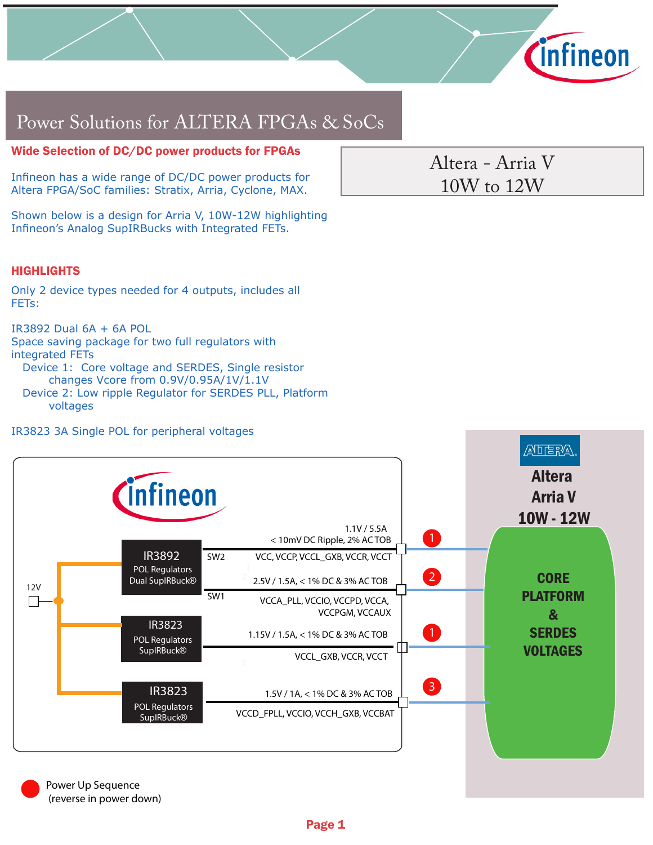

# Power Solutions for ALTERA FPGAs & SoCs

## Wide Selection of DC/DC power products for FPGAs

Infineon has a wide range of DC/DC power products for Altera FPGA/SoC families: Stratix, Arria, Cyclone, MAX.

Shown below is a design for Arria V, 10W-12W highlighting Infineon's Analog SupIRBucks with Integrated FETs.

## **HIGHLIGHTS**

Only 2 device types needed for 4 outputs, includes all FETs:

IR3892 Dual 6A + 6A POL

Space saving package for two full regulators with integrated FETs

 Device 1: Core voltage and SERDES, Single resistor changes Vcore from 0.9V/0.95A/1V/1.1V

 Device 2: Low ripple Regulator for SERDES PLL, Platform voltages

#### IR3823 3A Single POL for peripheral voltages



Altera - Arria V 10W to 12W

Power Up Sequence (reverse in power down)